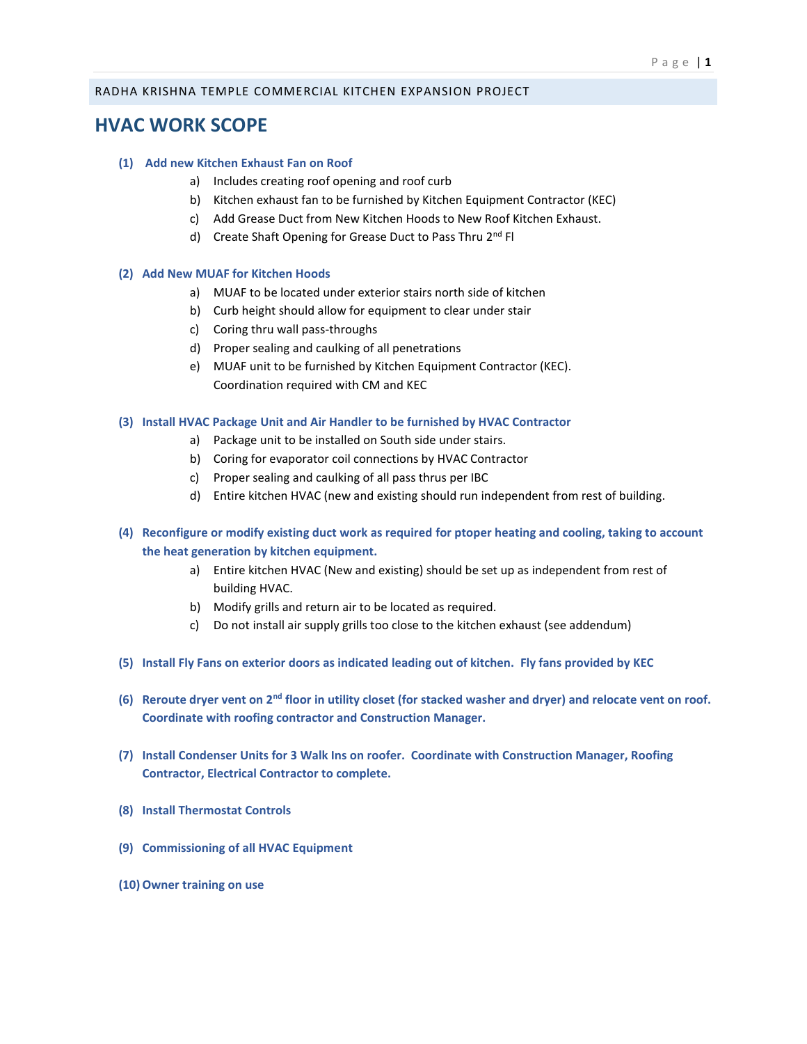## RADHA KRISHNA TEMPLE COMMERCIAL KITCHEN EXPANSION PROJECT

# **HVAC WORK SCOPE**

# **(1) Add new Kitchen Exhaust Fan on Roof**

- a) Includes creating roof opening and roof curb
- b) Kitchen exhaust fan to be furnished by Kitchen Equipment Contractor (KEC)
- c) Add Grease Duct from New Kitchen Hoods to New Roof Kitchen Exhaust.
- d) Create Shaft Opening for Grease Duct to Pass Thru 2<sup>nd</sup> Fl

#### **(2) Add New MUAF for Kitchen Hoods**

- a) MUAF to be located under exterior stairs north side of kitchen
- b) Curb height should allow for equipment to clear under stair
- c) Coring thru wall pass-throughs
- d) Proper sealing and caulking of all penetrations
- e) MUAF unit to be furnished by Kitchen Equipment Contractor (KEC). Coordination required with CM and KEC

#### **(3) Install HVAC Package Unit and Air Handler to be furnished by HVAC Contractor**

- a) Package unit to be installed on South side under stairs.
- b) Coring for evaporator coil connections by HVAC Contractor
- c) Proper sealing and caulking of all pass thrus per IBC
- d) Entire kitchen HVAC (new and existing should run independent from rest of building.
- **(4) Reconfigure or modify existing duct work as required for ptoper heating and cooling, taking to account the heat generation by kitchen equipment.** 
	- a) Entire kitchen HVAC (New and existing) should be set up as independent from rest of building HVAC.
	- b) Modify grills and return air to be located as required.
	- c) Do not install air supply grills too close to the kitchen exhaust (see addendum)
- **(5) Install Fly Fans on exterior doors as indicated leading out of kitchen. Fly fans provided by KEC**
- **(6) Reroute dryer vent on 2nd floor in utility closet (for stacked washer and dryer) and relocate vent on roof. Coordinate with roofing contractor and Construction Manager.**
- **(7) Install Condenser Units for 3 Walk Ins on roofer. Coordinate with Construction Manager, Roofing Contractor, Electrical Contractor to complete.**
- **(8) Install Thermostat Controls**
- **(9) Commissioning of all HVAC Equipment**
- **(10)Owner training on use**